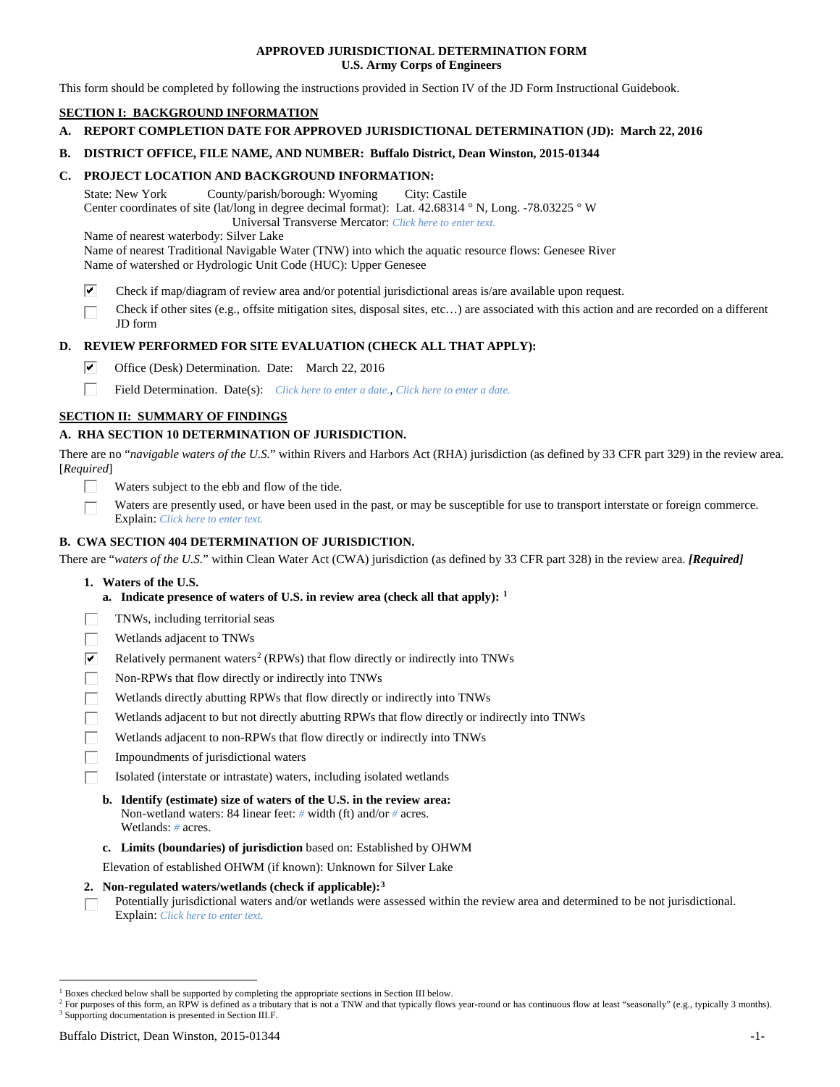### **APPROVED JURISDICTIONAL DETERMINATION FORM U.S. Army Corps of Engineers**

This form should be completed by following the instructions provided in Section IV of the JD Form Instructional Guidebook.

# **SECTION I: BACKGROUND INFORMATION**

- **A. REPORT COMPLETION DATE FOR APPROVED JURISDICTIONAL DETERMINATION (JD): March 22, 2016**
- **B. DISTRICT OFFICE, FILE NAME, AND NUMBER: Buffalo District, Dean Winston, 2015-01344**

### **C. PROJECT LOCATION AND BACKGROUND INFORMATION:**

State: New York County/parish/borough: Wyoming City: Castile Center coordinates of site (lat/long in degree decimal format): Lat. 42.68314 ° N, Long. -78.03225 ° W Universal Transverse Mercator: *Click here to enter text.*

Name of nearest waterbody: Silver Lake

Name of nearest Traditional Navigable Water (TNW) into which the aquatic resource flows: Genesee River Name of watershed or Hydrologic Unit Code (HUC): Upper Genesee

- ☑ Check if map/diagram of review area and/or potential jurisdictional areas is/are available upon request.
- Check if other sites (e.g., offsite mitigation sites, disposal sites, etc…) are associated with this action and are recorded on a different JD form

### **D. REVIEW PERFORMED FOR SITE EVALUATION (CHECK ALL THAT APPLY):**

- ⊽ Office (Desk) Determination. Date: March 22, 2016
- п Field Determination. Date(s): *Click here to enter a date.*, *Click here to enter a date.*

### **SECTION II: SUMMARY OF FINDINGS**

### **A. RHA SECTION 10 DETERMINATION OF JURISDICTION.**

There are no "*navigable waters of the U.S.*" within Rivers and Harbors Act (RHA) jurisdiction (as defined by 33 CFR part 329) in the review area. [*Required*]

- Waters subject to the ebb and flow of the tide.
- Waters are presently used, or have been used in the past, or may be susceptible for use to transport interstate or foreign commerce. Explain: *Click here to enter text.*

### **B. CWA SECTION 404 DETERMINATION OF JURISDICTION.**

There are "*waters of the U.S.*" within Clean Water Act (CWA) jurisdiction (as defined by 33 CFR part 328) in the review area. *[Required]*

- **1. Waters of the U.S.**
	- **a. Indicate presence of waters of U.S. in review area (check all that apply): [1](#page-0-0)**
- TNWs, including territorial seas
- Wetlands adjacent to TNWs
- $\overline{\mathbf{v}}$ Relatively permanent waters<sup>[2](#page-0-1)</sup> (RPWs) that flow directly or indirectly into TNWs
- П Non-RPWs that flow directly or indirectly into TNWs
- Wetlands directly abutting RPWs that flow directly or indirectly into TNWs
- Wetlands adjacent to but not directly abutting RPWs that flow directly or indirectly into TNWs
- Wetlands adjacent to non-RPWs that flow directly or indirectly into TNWs
- Impoundments of jurisdictional waters
- Isolated (interstate or intrastate) waters, including isolated wetlands
	- **b. Identify (estimate) size of waters of the U.S. in the review area:** Non-wetland waters: 84 linear feet: *#* width (ft) and/or *#* acres. Wetlands: *#* acres.
	- **c. Limits (boundaries) of jurisdiction** based on: Established by OHWM

Elevation of established OHWM (if known): Unknown for Silver Lake

#### **2. Non-regulated waters/wetlands (check if applicable):[3](#page-0-2)**

Potentially jurisdictional waters and/or wetlands were assessed within the review area and determined to be not jurisdictional. П Explain: *Click here to enter text.*

<span id="page-0-0"></span><sup>&</sup>lt;sup>1</sup> Boxes checked below shall be supported by completing the appropriate sections in Section III below.

<span id="page-0-2"></span><span id="page-0-1"></span><sup>&</sup>lt;sup>2</sup> For purposes of this form, an RPW is defined as a tributary that is not a TNW and that typically flows year-round or has continuous flow at least "seasonally" (e.g., typically 3 months). <sup>3</sup> Supporting documentation is presented in Section III.F.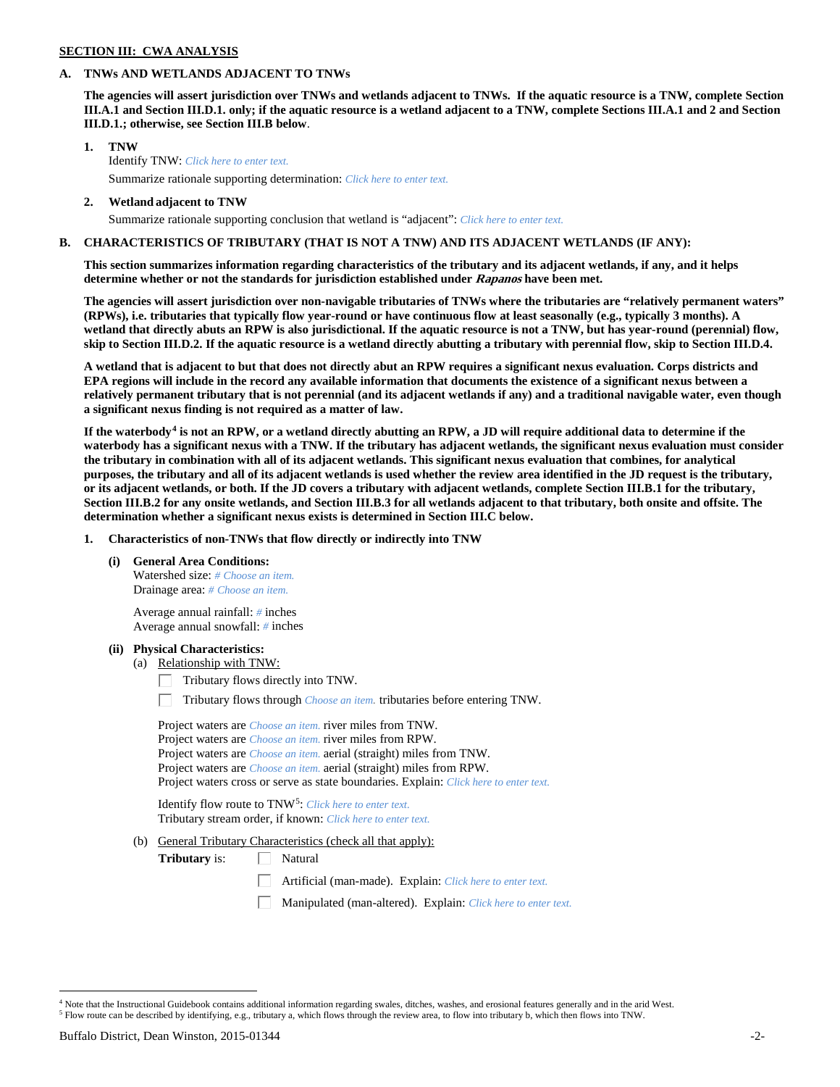# **SECTION III: CWA ANALYSIS**

### **A. TNWs AND WETLANDS ADJACENT TO TNWs**

**The agencies will assert jurisdiction over TNWs and wetlands adjacent to TNWs. If the aquatic resource is a TNW, complete Section III.A.1 and Section III.D.1. only; if the aquatic resource is a wetland adjacent to a TNW, complete Sections III.A.1 and 2 and Section III.D.1.; otherwise, see Section III.B below**.

- **1. TNW**  Identify TNW: *Click here to enter text.*
	- Summarize rationale supporting determination: *Click here to enter text.*
- **2. Wetland adjacent to TNW** Summarize rationale supporting conclusion that wetland is "adjacent": *Click here to enter text.*

### **B. CHARACTERISTICS OF TRIBUTARY (THAT IS NOT A TNW) AND ITS ADJACENT WETLANDS (IF ANY):**

**This section summarizes information regarding characteristics of the tributary and its adjacent wetlands, if any, and it helps determine whether or not the standards for jurisdiction established under Rapanos have been met.** 

**The agencies will assert jurisdiction over non-navigable tributaries of TNWs where the tributaries are "relatively permanent waters" (RPWs), i.e. tributaries that typically flow year-round or have continuous flow at least seasonally (e.g., typically 3 months). A wetland that directly abuts an RPW is also jurisdictional. If the aquatic resource is not a TNW, but has year-round (perennial) flow, skip to Section III.D.2. If the aquatic resource is a wetland directly abutting a tributary with perennial flow, skip to Section III.D.4.**

**A wetland that is adjacent to but that does not directly abut an RPW requires a significant nexus evaluation. Corps districts and EPA regions will include in the record any available information that documents the existence of a significant nexus between a relatively permanent tributary that is not perennial (and its adjacent wetlands if any) and a traditional navigable water, even though a significant nexus finding is not required as a matter of law.**

**If the waterbody[4](#page-1-0) is not an RPW, or a wetland directly abutting an RPW, a JD will require additional data to determine if the waterbody has a significant nexus with a TNW. If the tributary has adjacent wetlands, the significant nexus evaluation must consider the tributary in combination with all of its adjacent wetlands. This significant nexus evaluation that combines, for analytical purposes, the tributary and all of its adjacent wetlands is used whether the review area identified in the JD request is the tributary, or its adjacent wetlands, or both. If the JD covers a tributary with adjacent wetlands, complete Section III.B.1 for the tributary, Section III.B.2 for any onsite wetlands, and Section III.B.3 for all wetlands adjacent to that tributary, both onsite and offsite. The determination whether a significant nexus exists is determined in Section III.C below.**

**1. Characteristics of non-TNWs that flow directly or indirectly into TNW**

**(i) General Area Conditions:**

Watershed size: *# Choose an item.* Drainage area: *# Choose an item.*

Average annual rainfall: *#* inches Average annual snowfall: *#* inches

#### **(ii) Physical Characteristics:**

- (a) Relationship with TNW:
	- Tributary flows directly into TNW. Г.

Tributary flows through *Choose an item.* tributaries before entering TNW.

Project waters are *Choose an item.* river miles from TNW. Project waters are *Choose an item.* river miles from RPW. Project waters are *Choose an item.* aerial (straight) miles from TNW. Project waters are *Choose an item.* aerial (straight) miles from RPW. Project waters cross or serve as state boundaries. Explain: *Click here to enter text.*

Identify flow route to TNW[5:](#page-1-1) *Click here to enter text.* Tributary stream order, if known: *Click here to enter text.*

(b) General Tributary Characteristics (check all that apply):

**Tributary** is:  $\Box$  Natural

- Artificial (man-made). Explain: *Click here to enter text.*
- Manipulated (man-altered). Explain: *Click here to enter text.*

<span id="page-1-1"></span><span id="page-1-0"></span><sup>&</sup>lt;sup>4</sup> Note that the Instructional Guidebook contains additional information regarding swales, ditches, washes, and erosional features generally and in the arid West. <sup>5</sup> Flow route can be described by identifying, e.g., tributary a, which flows through the review area, to flow into tributary b, which then flows into TNW.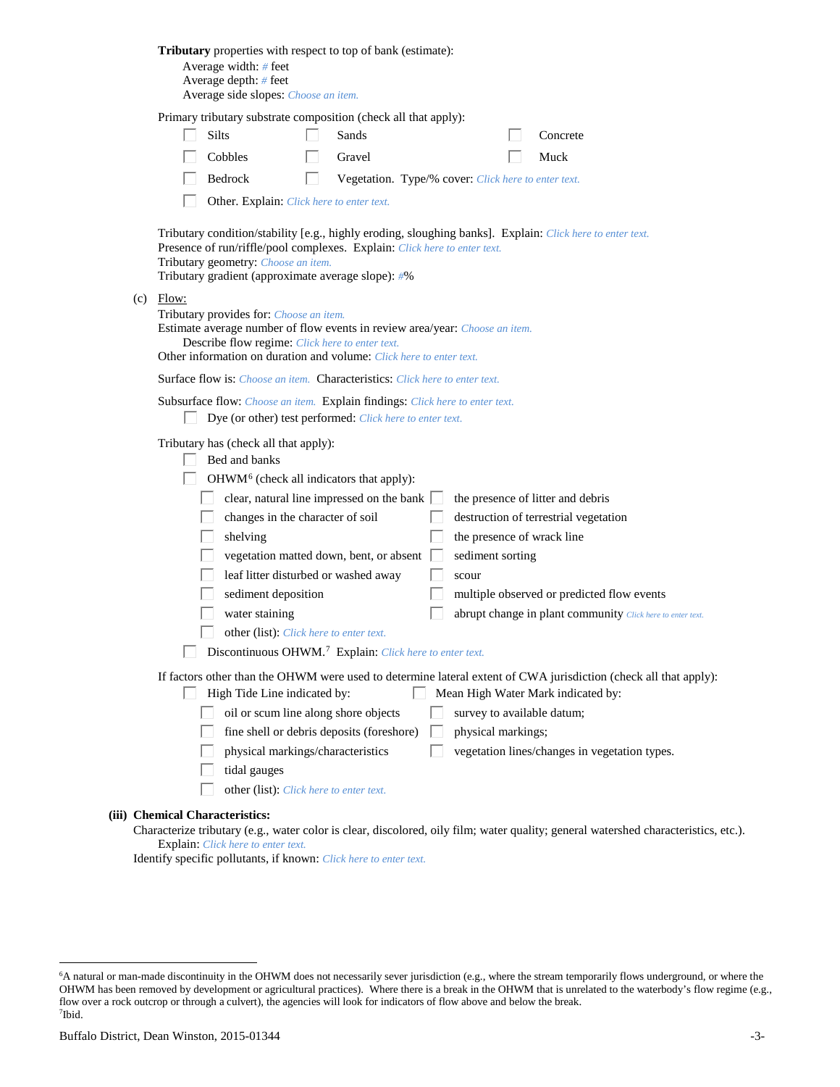| Tributary properties with respect to top of bank (estimate):<br>Average width: # feet<br>Average depth: $#$ feet<br>Average side slopes: Choose an item.                                                                                                                                                                                                                                                                                                                                                                                                                                                                                                                                                              |
|-----------------------------------------------------------------------------------------------------------------------------------------------------------------------------------------------------------------------------------------------------------------------------------------------------------------------------------------------------------------------------------------------------------------------------------------------------------------------------------------------------------------------------------------------------------------------------------------------------------------------------------------------------------------------------------------------------------------------|
| Primary tributary substrate composition (check all that apply):<br>Silts<br>Sands<br>Concrete<br>Cobbles<br>Gravel<br>Muck<br>Bedrock<br>Vegetation. Type/% cover: Click here to enter text.<br>L                                                                                                                                                                                                                                                                                                                                                                                                                                                                                                                     |
| Other. Explain: Click here to enter text.<br>Tributary condition/stability [e.g., highly eroding, sloughing banks]. Explain: Click here to enter text.<br>Presence of run/riffle/pool complexes. Explain: Click here to enter text.<br>Tributary geometry: Choose an item.<br>Tributary gradient (approximate average slope): #%                                                                                                                                                                                                                                                                                                                                                                                      |
| $(c)$ Flow:<br>Tributary provides for: Choose an item.<br>Estimate average number of flow events in review area/year: Choose an item.<br>Describe flow regime: Click here to enter text.<br>Other information on duration and volume: Click here to enter text.                                                                                                                                                                                                                                                                                                                                                                                                                                                       |
| <b>Surface flow is:</b> <i>Choose an item.</i> <b>Characteristics:</b> <i>Click here to enter text.</i>                                                                                                                                                                                                                                                                                                                                                                                                                                                                                                                                                                                                               |
| Subsurface flow: Choose an item. Explain findings: Click here to enter text.<br>Dye (or other) test performed: Click here to enter text.                                                                                                                                                                                                                                                                                                                                                                                                                                                                                                                                                                              |
| Tributary has (check all that apply):<br>Bed and banks<br>OHWM <sup>6</sup> (check all indicators that apply):<br>clear, natural line impressed on the bank $\Box$<br>the presence of litter and debris<br>changes in the character of soil<br>destruction of terrestrial vegetation<br>the presence of wrack line<br>shelving<br>vegetation matted down, bent, or absent<br>sediment sorting<br>leaf litter disturbed or washed away<br>scour<br>sediment deposition<br>multiple observed or predicted flow events<br>water staining<br>abrupt change in plant community Click here to enter text.<br>other (list): Click here to enter text.<br>Discontinuous OHWM. <sup>7</sup> Explain: Click here to enter text. |
| If factors other than the OHWM were used to determine lateral extent of CWA jurisdiction (check all that apply):<br>High Tide Line indicated by:<br>Mean High Water Mark indicated by:<br>L<br>oil or scum line along shore objects<br>survey to available datum;<br>fine shell or debris deposits (foreshore)<br>physical markings;<br>physical markings/characteristics<br>vegetation lines/changes in vegetation types.<br>tidal gauges<br>other (list): Click here to enter text.                                                                                                                                                                                                                                 |
| (iii) Chemical Characteristics:                                                                                                                                                                                                                                                                                                                                                                                                                                                                                                                                                                                                                                                                                       |

Characterize tributary (e.g., water color is clear, discolored, oily film; water quality; general watershed characteristics, etc.). Explain: *Click here to enter text.*

Identify specific pollutants, if known: *Click here to enter text.*

<span id="page-2-1"></span><span id="page-2-0"></span> <sup>6</sup> <sup>6</sup>A natural or man-made discontinuity in the OHWM does not necessarily sever jurisdiction (e.g., where the stream temporarily flows underground, or where the OHWM has been removed by development or agricultural practices). Where there is a break in the OHWM that is unrelated to the waterbody's flow regime (e.g., flow over a rock outcrop or through a culvert), the agencies will look for indicators of flow above and below the break. 7 Ibid.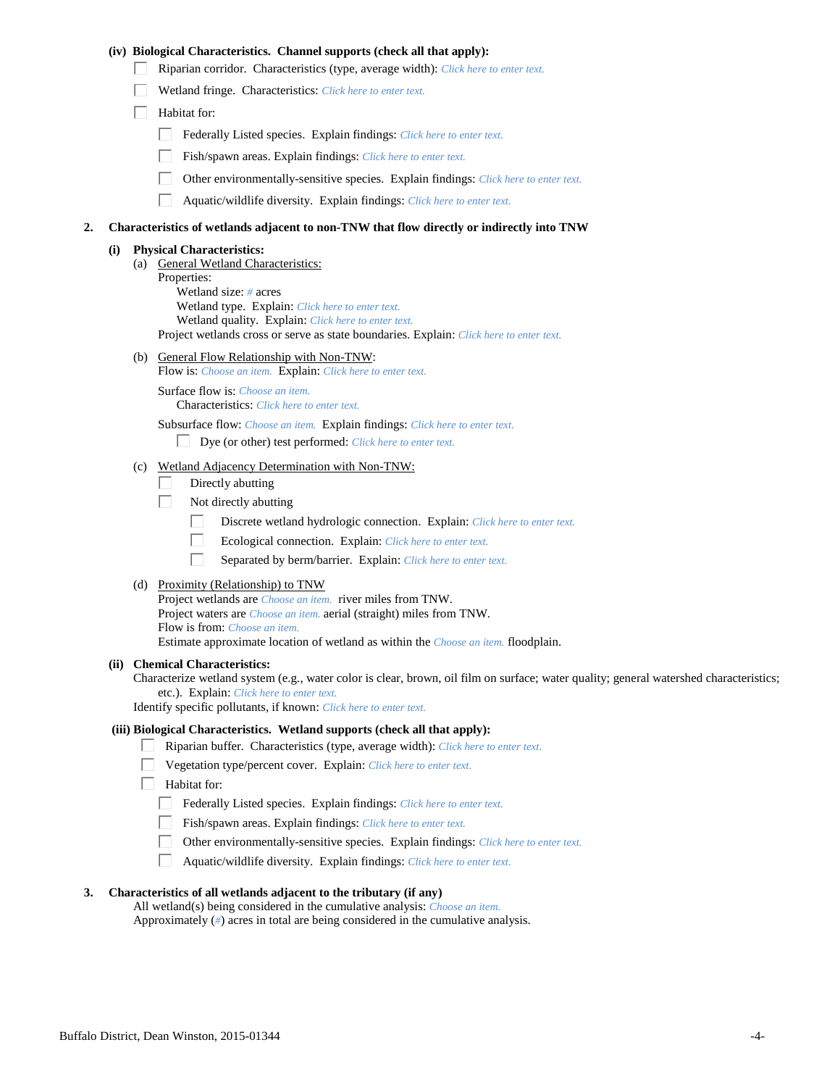### **(iv) Biological Characteristics. Channel supports (check all that apply):**

- Riparian corridor. Characteristics (type, average width): *Click here to enter text.*
- Wetland fringe. Characteristics: *Click here to enter text.*
- $\Box$  Habitat for:
	- Federally Listed species. Explain findings: *Click here to enter text.*
	- Fish/spawn areas. Explain findings: *Click here to enter text.*
	- Other environmentally-sensitive species. Explain findings: *Click here to enter text.*
	- $\Box$ Aquatic/wildlife diversity. Explain findings: *Click here to enter text.*

#### **2. Characteristics of wetlands adjacent to non-TNW that flow directly or indirectly into TNW**

#### **(i) Physical Characteristics:**

(a) General Wetland Characteristics: Properties: Wetland size: *#* acres Wetland type. Explain: *Click here to enter text.* Wetland quality. Explain: *Click here to enter text.* Project wetlands cross or serve as state boundaries. Explain: *Click here to enter text.*

(b) General Flow Relationship with Non-TNW:

Flow is: *Choose an item.* Explain: *Click here to enter text.*

Surface flow is: *Choose an item.* Characteristics: *Click here to enter text.*

Subsurface flow: *Choose an item.* Explain findings: *Click here to enter text.*

- Dye (or other) test performed: *Click here to enter text.*
- (c) Wetland Adjacency Determination with Non-TNW:
	- Directly abutting П.
	- П. Not directly abutting
		- П. Discrete wetland hydrologic connection. Explain: *Click here to enter text.*
		- П. Ecological connection. Explain: *Click here to enter text.*
		- П. Separated by berm/barrier. Explain: *Click here to enter text.*
- (d) Proximity (Relationship) to TNW

Project wetlands are *Choose an item.* river miles from TNW. Project waters are *Choose an item.* aerial (straight) miles from TNW. Flow is from: *Choose an item.* Estimate approximate location of wetland as within the *Choose an item.* floodplain.

#### **(ii) Chemical Characteristics:**

Characterize wetland system (e.g., water color is clear, brown, oil film on surface; water quality; general watershed characteristics; etc.). Explain: *Click here to enter text.*

Identify specific pollutants, if known: *Click here to enter text.*

#### **(iii) Biological Characteristics. Wetland supports (check all that apply):**

- Riparian buffer. Characteristics (type, average width): *Click here to enter text.*
	- Vegetation type/percent cover. Explain: *Click here to enter text.*
	- Habitat for:
		- Federally Listed species. Explain findings: *Click here to enter text*.
		- Fish/spawn areas. Explain findings: *Click here to enter text.*
		- Other environmentally-sensitive species. Explain findings: *Click here to enter text.*  $\Box$
		- $\Box$ Aquatic/wildlife diversity. Explain findings: *Click here to enter text.*

### **3. Characteristics of all wetlands adjacent to the tributary (if any)**

All wetland(s) being considered in the cumulative analysis: *Choose an item.* Approximately (*#*) acres in total are being considered in the cumulative analysis.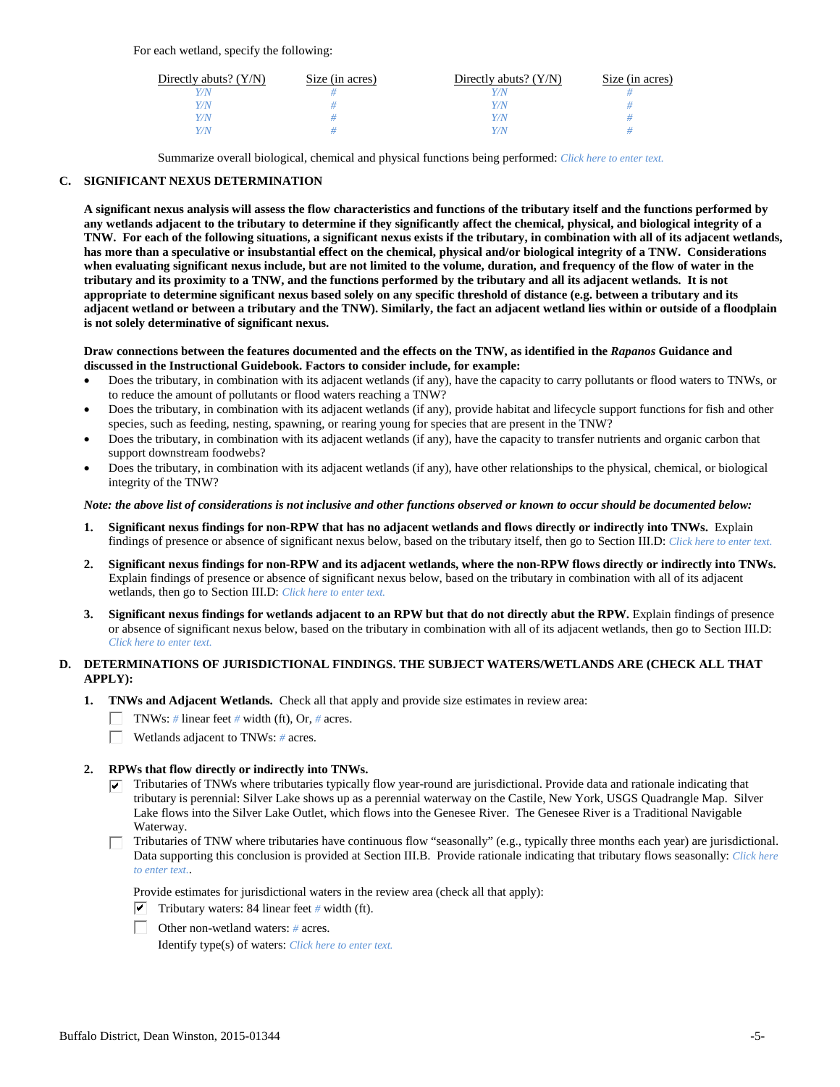For each wetland, specify the following:

| Directly abuts? $(Y/N)$ | Size (in acres) | Directly abuts? $(Y/N)$ | Size (in acres) |
|-------------------------|-----------------|-------------------------|-----------------|
|                         |                 |                         |                 |
| V/N                     |                 | Y/N                     |                 |
| V/N                     |                 | Y/N                     |                 |
|                         |                 | Y/N                     |                 |

Summarize overall biological, chemical and physical functions being performed: *Click here to enter text.*

### **C. SIGNIFICANT NEXUS DETERMINATION**

**A significant nexus analysis will assess the flow characteristics and functions of the tributary itself and the functions performed by any wetlands adjacent to the tributary to determine if they significantly affect the chemical, physical, and biological integrity of a TNW. For each of the following situations, a significant nexus exists if the tributary, in combination with all of its adjacent wetlands, has more than a speculative or insubstantial effect on the chemical, physical and/or biological integrity of a TNW. Considerations when evaluating significant nexus include, but are not limited to the volume, duration, and frequency of the flow of water in the tributary and its proximity to a TNW, and the functions performed by the tributary and all its adjacent wetlands. It is not appropriate to determine significant nexus based solely on any specific threshold of distance (e.g. between a tributary and its adjacent wetland or between a tributary and the TNW). Similarly, the fact an adjacent wetland lies within or outside of a floodplain is not solely determinative of significant nexus.** 

#### **Draw connections between the features documented and the effects on the TNW, as identified in the** *Rapanos* **Guidance and discussed in the Instructional Guidebook. Factors to consider include, for example:**

- Does the tributary, in combination with its adjacent wetlands (if any), have the capacity to carry pollutants or flood waters to TNWs, or to reduce the amount of pollutants or flood waters reaching a TNW?
- Does the tributary, in combination with its adjacent wetlands (if any), provide habitat and lifecycle support functions for fish and other species, such as feeding, nesting, spawning, or rearing young for species that are present in the TNW?
- Does the tributary, in combination with its adjacent wetlands (if any), have the capacity to transfer nutrients and organic carbon that support downstream foodwebs?
- Does the tributary, in combination with its adjacent wetlands (if any), have other relationships to the physical, chemical, or biological integrity of the TNW?

### *Note: the above list of considerations is not inclusive and other functions observed or known to occur should be documented below:*

- **1. Significant nexus findings for non-RPW that has no adjacent wetlands and flows directly or indirectly into TNWs.** Explain findings of presence or absence of significant nexus below, based on the tributary itself, then go to Section III.D: *Click here to enter text.*
- **2. Significant nexus findings for non-RPW and its adjacent wetlands, where the non-RPW flows directly or indirectly into TNWs.**  Explain findings of presence or absence of significant nexus below, based on the tributary in combination with all of its adjacent wetlands, then go to Section III.D: *Click here to enter text.*
- **3. Significant nexus findings for wetlands adjacent to an RPW but that do not directly abut the RPW.** Explain findings of presence or absence of significant nexus below, based on the tributary in combination with all of its adjacent wetlands, then go to Section III.D: *Click here to enter text.*

# **D. DETERMINATIONS OF JURISDICTIONAL FINDINGS. THE SUBJECT WATERS/WETLANDS ARE (CHECK ALL THAT APPLY):**

- **1. TNWs and Adjacent Wetlands.** Check all that apply and provide size estimates in review area:
	- TNWs: *#* linear feet *#* width (ft), Or, *#* acres.
	- $\Box$ Wetlands adjacent to TNWs: *#* acres.
- **2. RPWs that flow directly or indirectly into TNWs.**
	- $\triangledown$  Tributaries of TNWs where tributaries typically flow year-round are jurisdictional. Provide data and rationale indicating that tributary is perennial: Silver Lake shows up as a perennial waterway on the Castile, New York, USGS Quadrangle Map. Silver Lake flows into the Silver Lake Outlet, which flows into the Genesee River. The Genesee River is a Traditional Navigable Waterway.
	- Tributaries of TNW where tributaries have continuous flow "seasonally" (e.g., typically three months each year) are jurisdictional. Data supporting this conclusion is provided at Section III.B. Provide rationale indicating that tributary flows seasonally: *Click here to enter text.*.

Provide estimates for jurisdictional waters in the review area (check all that apply):

- $\triangledown$  Tributary waters: 84 linear feet # width (ft).
- Other non-wetland waters: *#* acres.

Identify type(s) of waters: *Click here to enter text.*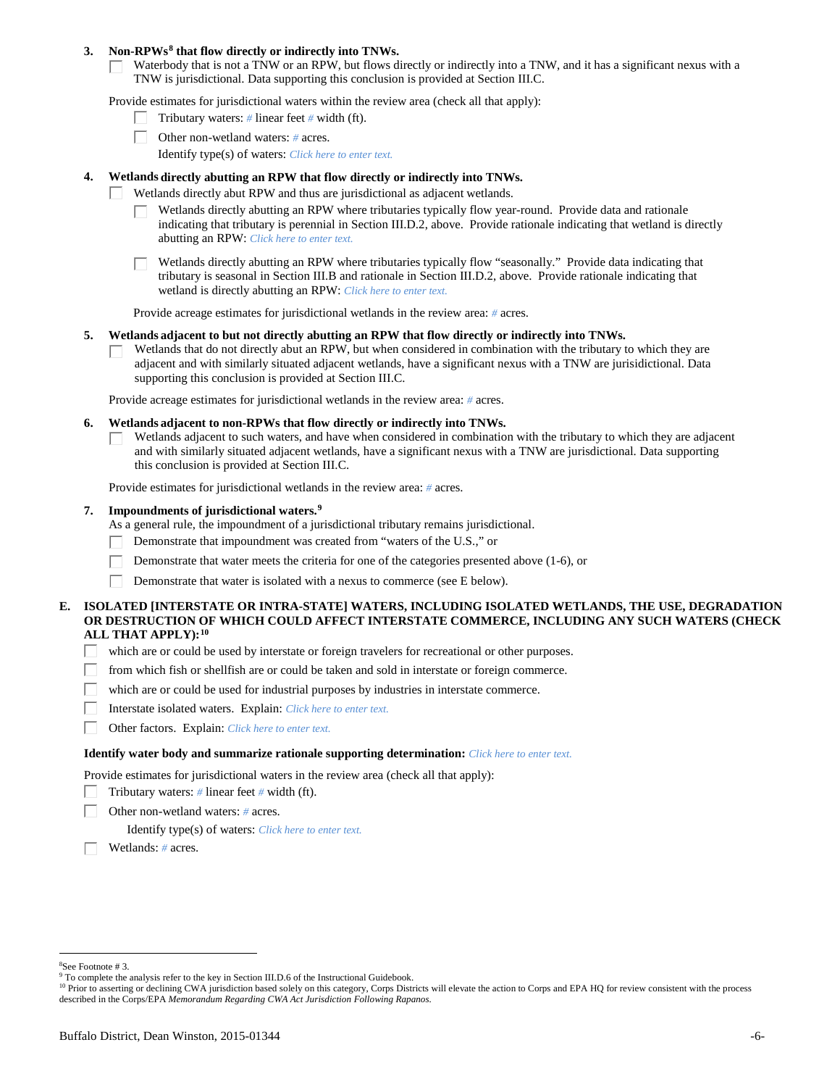### **3. Non-RPWs[8](#page-5-0) that flow directly or indirectly into TNWs.**

Waterbody that is not a TNW or an RPW, but flows directly or indirectly into a TNW, and it has a significant nexus with a TNW is jurisdictional. Data supporting this conclusion is provided at Section III.C.

Provide estimates for jurisdictional waters within the review area (check all that apply):

- Tributary waters: *#* linear feet *#* width (ft).  $\mathbf{L}$
- Other non-wetland waters: *#* acres.
	- Identify type(s) of waters: *Click here to enter text.*

### **4. Wetlands directly abutting an RPW that flow directly or indirectly into TNWs.**

- ГT. Wetlands directly abut RPW and thus are jurisdictional as adjacent wetlands.
	- Wetlands directly abutting an RPW where tributaries typically flow year-round. Provide data and rationale indicating that tributary is perennial in Section III.D.2, above. Provide rationale indicating that wetland is directly abutting an RPW: *Click here to enter text.*

Wetlands directly abutting an RPW where tributaries typically flow "seasonally." Provide data indicating that tributary is seasonal in Section III.B and rationale in Section III.D.2, above. Provide rationale indicating that wetland is directly abutting an RPW: *Click here to enter text.*

Provide acreage estimates for jurisdictional wetlands in the review area: *#* acres.

#### **5. Wetlands adjacent to but not directly abutting an RPW that flow directly or indirectly into TNWs.**

Wetlands that do not directly abut an RPW, but when considered in combination with the tributary to which they are П adjacent and with similarly situated adjacent wetlands, have a significant nexus with a TNW are jurisidictional. Data supporting this conclusion is provided at Section III.C.

Provide acreage estimates for jurisdictional wetlands in the review area: *#* acres.

#### **6. Wetlands adjacent to non-RPWs that flow directly or indirectly into TNWs.**

Wetlands adjacent to such waters, and have when considered in combination with the tributary to which they are adjacent П and with similarly situated adjacent wetlands, have a significant nexus with a TNW are jurisdictional. Data supporting this conclusion is provided at Section III.C.

Provide estimates for jurisdictional wetlands in the review area: *#* acres.

### **7. Impoundments of jurisdictional waters. [9](#page-5-1)**

As a general rule, the impoundment of a jurisdictional tributary remains jurisdictional.

- Demonstrate that impoundment was created from "waters of the U.S.," or
- Demonstrate that water meets the criteria for one of the categories presented above (1-6), or
- Demonstrate that water is isolated with a nexus to commerce (see E below). Г

### **E. ISOLATED [INTERSTATE OR INTRA-STATE] WATERS, INCLUDING ISOLATED WETLANDS, THE USE, DEGRADATION OR DESTRUCTION OF WHICH COULD AFFECT INTERSTATE COMMERCE, INCLUDING ANY SUCH WATERS (CHECK ALL THAT APPLY):[10](#page-5-2)**

- L. which are or could be used by interstate or foreign travelers for recreational or other purposes.
- from which fish or shellfish are or could be taken and sold in interstate or foreign commerce.
- which are or could be used for industrial purposes by industries in interstate commerce. П.
- Г Interstate isolated waters.Explain: *Click here to enter text.*
- П Other factors.Explain: *Click here to enter text.*

#### **Identify water body and summarize rationale supporting determination:** *Click here to enter text.*

Provide estimates for jurisdictional waters in the review area (check all that apply):

- Tributary waters: *#* linear feet *#* width (ft).
- Other non-wetland waters: *#* acres.

Identify type(s) of waters: *Click here to enter text.*

Wetlands: *#* acres.

<span id="page-5-0"></span> $\frac{1}{8}$ See Footnote # 3.

<sup>&</sup>lt;sup>9</sup> To complete the analysis refer to the key in Section III.D.6 of the Instructional Guidebook.

<span id="page-5-2"></span><span id="page-5-1"></span><sup>&</sup>lt;sup>10</sup> Prior to asserting or declining CWA jurisdiction based solely on this category, Corps Districts will elevate the action to Corps and EPA HQ for review consistent with the process described in the Corps/EPA *Memorandum Regarding CWA Act Jurisdiction Following Rapanos.*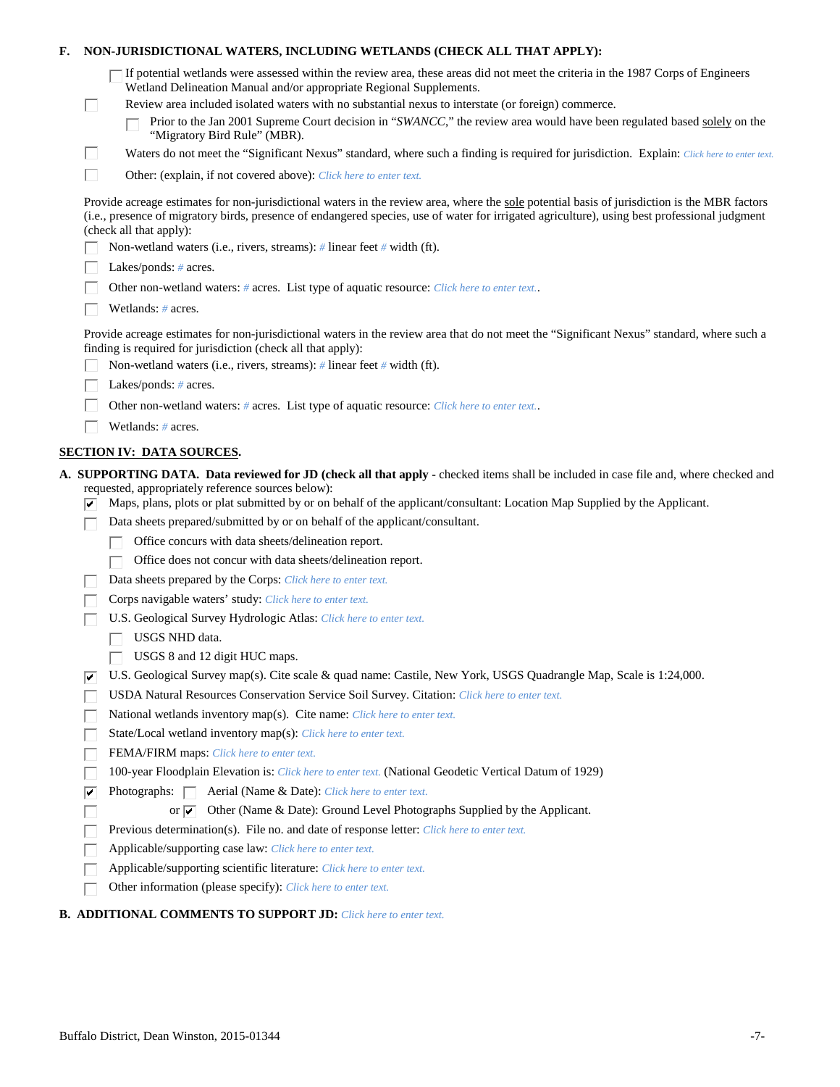| F.                                                                                                                                                                                                                                                                                                                        |                                                                                            | NON-JURISDICTIONAL WATERS, INCLUDING WETLANDS (CHECK ALL THAT APPLY):                                                                                                                                                                                          |  |  |
|---------------------------------------------------------------------------------------------------------------------------------------------------------------------------------------------------------------------------------------------------------------------------------------------------------------------------|--------------------------------------------------------------------------------------------|----------------------------------------------------------------------------------------------------------------------------------------------------------------------------------------------------------------------------------------------------------------|--|--|
|                                                                                                                                                                                                                                                                                                                           |                                                                                            | If potential wetlands were assessed within the review area, these areas did not meet the criteria in the 1987 Corps of Engineers<br>Wetland Delineation Manual and/or appropriate Regional Supplements.                                                        |  |  |
|                                                                                                                                                                                                                                                                                                                           | L.                                                                                         | Review area included isolated waters with no substantial nexus to interstate (or foreign) commerce.<br>Prior to the Jan 2001 Supreme Court decision in "SWANCC," the review area would have been regulated based solely on the<br>"Migratory Bird Rule" (MBR). |  |  |
|                                                                                                                                                                                                                                                                                                                           | Е                                                                                          | Waters do not meet the "Significant Nexus" standard, where such a finding is required for jurisdiction. Explain: Click here to enter text.                                                                                                                     |  |  |
|                                                                                                                                                                                                                                                                                                                           | П                                                                                          | Other: (explain, if not covered above): Click here to enter text.                                                                                                                                                                                              |  |  |
| Provide acreage estimates for non-jurisdictional waters in the review area, where the sole potential basis of jurisdiction is the MBR factors<br>(i.e., presence of migratory birds, presence of endangered species, use of water for irrigated agriculture), using best professional judgment<br>(check all that apply): |                                                                                            |                                                                                                                                                                                                                                                                |  |  |
|                                                                                                                                                                                                                                                                                                                           |                                                                                            | Non-wetland waters (i.e., rivers, streams): # linear feet # width (ft).                                                                                                                                                                                        |  |  |
|                                                                                                                                                                                                                                                                                                                           |                                                                                            | Lakes/ponds: $# \, \text{acres.}$                                                                                                                                                                                                                              |  |  |
|                                                                                                                                                                                                                                                                                                                           | Other non-wetland waters: # acres. List type of aquatic resource: Click here to enter text |                                                                                                                                                                                                                                                                |  |  |
|                                                                                                                                                                                                                                                                                                                           |                                                                                            | Wetlands: # acres.                                                                                                                                                                                                                                             |  |  |
| Provide acreage estimates for non-jurisdictional waters in the review area that do not meet the "Significant Nexus" standard, where such a<br>finding is required for jurisdiction (check all that apply):                                                                                                                |                                                                                            |                                                                                                                                                                                                                                                                |  |  |
|                                                                                                                                                                                                                                                                                                                           |                                                                                            | Non-wetland waters (i.e., rivers, streams): $\#$ linear feet $\#$ width (ft).                                                                                                                                                                                  |  |  |
|                                                                                                                                                                                                                                                                                                                           |                                                                                            | Lakes/ponds: $# \, \text{acres.}$                                                                                                                                                                                                                              |  |  |
|                                                                                                                                                                                                                                                                                                                           |                                                                                            | Other non-wetland waters: # acres. List type of aquatic resource: Click here to enter text                                                                                                                                                                     |  |  |
|                                                                                                                                                                                                                                                                                                                           |                                                                                            | Wetlands: $#$ acres.                                                                                                                                                                                                                                           |  |  |
|                                                                                                                                                                                                                                                                                                                           |                                                                                            | <b>SECTION IV: DATA SOURCES.</b>                                                                                                                                                                                                                               |  |  |
|                                                                                                                                                                                                                                                                                                                           |                                                                                            | A. SUPPORTING DATA. Data reviewed for JD (check all that apply - checked items shall be included in case file and, where checked and                                                                                                                           |  |  |
|                                                                                                                                                                                                                                                                                                                           | է                                                                                          | requested, appropriately reference sources below):<br>Maps, plans, plots or plat submitted by or on behalf of the applicant/consultant: Location Map Supplied by the Applicant.                                                                                |  |  |
|                                                                                                                                                                                                                                                                                                                           |                                                                                            | Data sheets prepared/submitted by or on behalf of the applicant/consultant.                                                                                                                                                                                    |  |  |
|                                                                                                                                                                                                                                                                                                                           |                                                                                            | Office concurs with data sheets/delineation report.                                                                                                                                                                                                            |  |  |
|                                                                                                                                                                                                                                                                                                                           |                                                                                            | Office does not concur with data sheets/delineation report.                                                                                                                                                                                                    |  |  |
|                                                                                                                                                                                                                                                                                                                           |                                                                                            | Data sheets prepared by the Corps: Click here to enter text.                                                                                                                                                                                                   |  |  |
|                                                                                                                                                                                                                                                                                                                           |                                                                                            | Corps navigable waters' study: Click here to enter text.                                                                                                                                                                                                       |  |  |
|                                                                                                                                                                                                                                                                                                                           |                                                                                            | U.S. Geological Survey Hydrologic Atlas: Click here to enter text.                                                                                                                                                                                             |  |  |
|                                                                                                                                                                                                                                                                                                                           |                                                                                            | USGS NHD data.                                                                                                                                                                                                                                                 |  |  |
|                                                                                                                                                                                                                                                                                                                           |                                                                                            | USGS 8 and 12 digit HUC maps.                                                                                                                                                                                                                                  |  |  |
|                                                                                                                                                                                                                                                                                                                           | ⊮                                                                                          | U.S. Geological Survey map(s). Cite scale & quad name: Castile, New York, USGS Quadrangle Map, Scale is 1:24,000.<br>USDA Natural Resources Conservation Service Soil Survey. Citation: Click here to enter text.                                              |  |  |
|                                                                                                                                                                                                                                                                                                                           |                                                                                            | National wetlands inventory map(s). Cite name: Click here to enter text.                                                                                                                                                                                       |  |  |
|                                                                                                                                                                                                                                                                                                                           |                                                                                            | State/Local wetland inventory map(s): Click here to enter text.                                                                                                                                                                                                |  |  |
|                                                                                                                                                                                                                                                                                                                           |                                                                                            | FEMA/FIRM maps: Click here to enter text.                                                                                                                                                                                                                      |  |  |
|                                                                                                                                                                                                                                                                                                                           |                                                                                            | 100-year Floodplain Elevation is: Click here to enter text. (National Geodetic Vertical Datum of 1929)                                                                                                                                                         |  |  |
|                                                                                                                                                                                                                                                                                                                           | ⊽                                                                                          | Photographs:   Aerial (Name & Date): Click here to enter text.                                                                                                                                                                                                 |  |  |
|                                                                                                                                                                                                                                                                                                                           |                                                                                            | Other (Name & Date): Ground Level Photographs Supplied by the Applicant.<br>or $\overline{\mathbf{v}}$                                                                                                                                                         |  |  |
|                                                                                                                                                                                                                                                                                                                           |                                                                                            | Previous determination(s). File no. and date of response letter: Click here to enter text.                                                                                                                                                                     |  |  |
|                                                                                                                                                                                                                                                                                                                           |                                                                                            | Applicable/supporting case law: Click here to enter text.                                                                                                                                                                                                      |  |  |
|                                                                                                                                                                                                                                                                                                                           |                                                                                            | Applicable/supporting scientific literature: Click here to enter text.                                                                                                                                                                                         |  |  |
|                                                                                                                                                                                                                                                                                                                           |                                                                                            | Other information (please specify): Click here to enter text.                                                                                                                                                                                                  |  |  |

# **B. ADDITIONAL COMMENTS TO SUPPORT JD:** *Click here to enter text.*